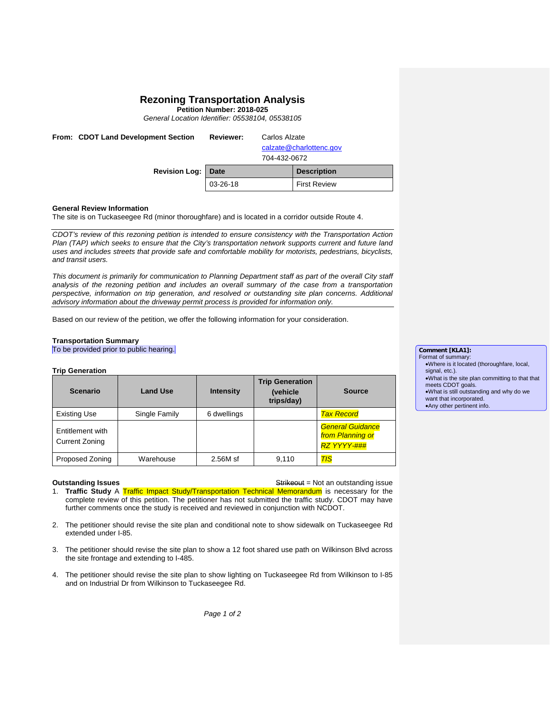# **Rezoning Transportation Analysis**

**Petition Number: 2018-025**

*General Location Identifier: 05538104, 05538105*

| From: CDOT Land Development Section | <b>Reviewer:</b> | Carlos Alzate<br>calzate@charlottenc.gov<br>704-432-0672 |  |
|-------------------------------------|------------------|----------------------------------------------------------|--|
| Revision Log:                       | <b>Date</b>      | <b>Description</b>                                       |  |
|                                     | 03-26-18         | <b>First Review</b>                                      |  |

#### **General Review Information**

The site is on Tuckaseegee Rd (minor thoroughfare) and is located in a corridor outside Route 4.

*CDOT's review of this rezoning petition is intended to ensure consistency with the Transportation Action Plan (TAP) which seeks to ensure that the City's transportation network supports current and future land uses and includes streets that provide safe and comfortable mobility for motorists, pedestrians, bicyclists, and transit users.*

*This document is primarily for communication to Planning Department staff as part of the overall City staff analysis of the rezoning petition and includes an overall summary of the case from a transportation perspective, information on trip generation, and resolved or outstanding site plan concerns. Additional advisory information about the driveway permit process is provided for information only.*

Based on our review of the petition, we offer the following information for your consideration.

### **Transportation Summary**

To be provided prior to public hearing.

| <b>Trip Generation</b> |  |
|------------------------|--|
|------------------------|--|

| <b>Scenario</b>                           | <b>Land Use</b> | <b>Intensity</b> | <b>Trip Generation</b><br><i>(vehicle)</i><br>trips/day) | <b>Source</b>                                                     |  |  |
|-------------------------------------------|-----------------|------------------|----------------------------------------------------------|-------------------------------------------------------------------|--|--|
| <b>Existing Use</b>                       | Single Family   | 6 dwellings      |                                                          | <b>Tax Record</b>                                                 |  |  |
| Entitlement with<br><b>Current Zoning</b> |                 |                  |                                                          | <b>General Guidance</b><br>from Planning or<br><b>RZ YYYY-###</b> |  |  |
| Proposed Zoning                           | Warehouse       | 2.56M sf         | 9.110                                                    | $T\text{IS}$                                                      |  |  |

**Outstanding Issues Container Strikes Container Strikes and Strikes and Strikes of Australian Strikes Container Strikes and Strikes Container Strikes Container Strikes and Strikes and Strikes and Strikes and Strikes and** 1. **Traffic Study** A Traffic Impact Study/Transportation Technical Memorandum is necessary for the complete review of this petition. The petitioner has not submitted the traffic study. CDOT may have further comments once the study is received and reviewed in conjunction with NCDOT.

- 2. The petitioner should revise the site plan and conditional note to show sidewalk on Tuckaseegee Rd extended under I-85.
- 3. The petitioner should revise the site plan to show a 12 foot shared use path on Wilkinson Blvd across the site frontage and extending to I-485.
- 4. The petitioner should revise the site plan to show lighting on Tuckaseegee Rd from Wilkinson to I-85 and on Industrial Dr from Wilkinson to Tuckaseegee Rd.

**Comment [KLA1]:**  Format of summary: •Where is it located (thoroughfare, local, signal, etc.). •What is the site plan committing to that that meets CDOT goals. •What is still outstanding and why do we want that incorporated. •Any other pertinent info.

*Page 1 of 2*